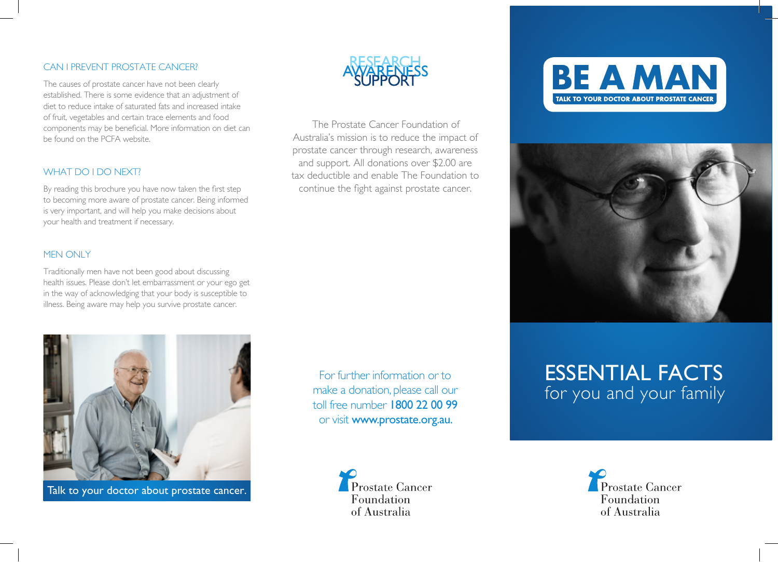#### CAN I PREVENT PROSTATE CANCER?

The causes of prostate cancer have not been clearly established. There is some evidence that an adjustment of diet to reduce intake of saturated fats and increased intake of fruit, vegetables and certain trace elements and food components may be beneficial. More information on diet can be found on the PCFA website.

## WHAT DO I DO NEXT?

By reading this brochure you have now taken the first step to becoming more aware of prostate cancer. Being informed is very important, and will help you make decisions about your health and treatment if necessary.

#### MEN ONLY

Traditionally men have not been good about discussing health issues. Please don't let embarrassment or your ego get in the way of acknowledging that your body is susceptible to illness. Being aware may help you survive prostate cancer.



Talk to your doctor about prostate cancer.



The Prostate Cancer Foundation of Australia's mission is to reduce the impact of prostate cancer through research, awareness and support. All donations over \$2.00 are tax deductible and enable The Foundation to continue the fight against prostate cancer.

> For further information or to make a donation, please call our toll free number 1800 22 00 99 or visit www.prostate.org.au.

> > Prostate Cancer Foundation of Australia





# Essential facts for you and your family

Prostate Cancer Foundation of Australia